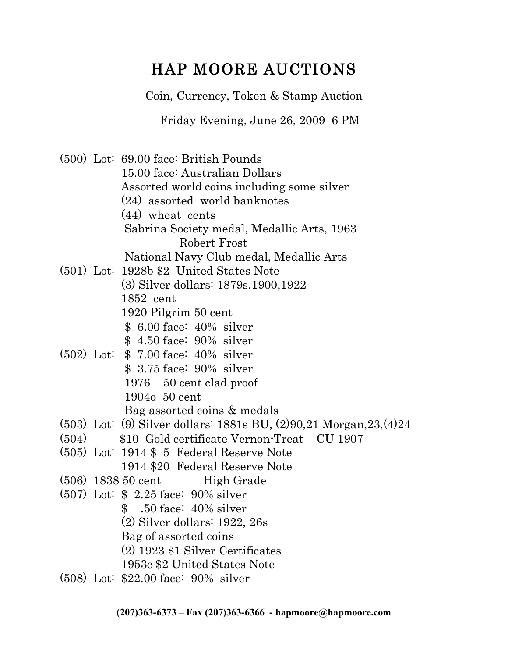# HAP MOORE AUCTIONS

Coin, Currency, Token & Stamp Auction

Friday Evening, June 26, 2009 6 PM

(500) Lot: 69.00 face: British Pounds 15.00 face: Australian Dollars Assorted world coins including some silver (24) assorted world banknotes (44) wheat cents Sabrina Society medal, Medallic Arts, 1963 Robert Frost National Navy Club medal, Medallic Arts (501) Lot: 1928b \$2 United States Note (3) Silver dollars: 1879s,1900,1922 1852 cent 1920 Pilgrim 50 cent \$ 6.00 face: 40% silver \$ 4.50 face: 90% silver (502) Lot: \$ 7.00 face: 40% silver \$ 3.75 face: 90% silver 1976 50 cent clad proof 1904o 50 cent Bag assorted coins & medals (503) Lot: (9) Silver dollars: 1881s BU, (2)90,21 Morgan,23,(4)24 (504) \$10 Gold certificate Vernon-Treat CU 1907 (505) Lot: 1914 \$ 5 Federal Reserve Note 1914 \$20 Federal Reserve Note  $(506)$  1838 50 cent High Grade (507) Lot: \$ 2.25 face: 90% silver \$ .50 face: 40% silver (2) Silver dollars: 1922, 26s Bag of assorted coins (2) 1923 \$1 Silver Certificates 1953c \$2 United States Note (508) Lot: \$22.00 face: 90% silver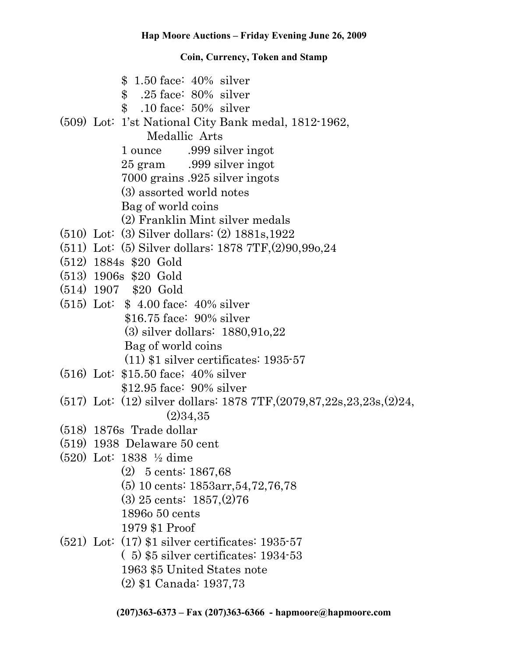|  | $$1.50$ face: $40\%$ silver<br>\$ .25 face: 80% silver<br>$$.10$ face: $50\%$ silver<br>(509) Lot: 1'st National City Bank medal, 1812-1962, |
|--|----------------------------------------------------------------------------------------------------------------------------------------------|
|  | Medallic Arts                                                                                                                                |
|  | 1 ounce .999 silver ingot                                                                                                                    |
|  | 25 gram .999 silver ingot                                                                                                                    |
|  | 7000 grains .925 silver ingots                                                                                                               |
|  | (3) assorted world notes                                                                                                                     |
|  | Bag of world coins                                                                                                                           |
|  | (2) Franklin Mint silver medals                                                                                                              |
|  | $(510)$ Lot: $(3)$ Silver dollars: $(2)$ 1881s, 1922                                                                                         |
|  | $(511)$ Lot: (5) Silver dollars: 1878 7TF, $(2)90, 990, 24$                                                                                  |
|  | $(512)$ 1884s \$20 Gold                                                                                                                      |
|  | $(513)$ 1906s \$20 Gold                                                                                                                      |
|  | $(514)$ 1907 \$20 Gold                                                                                                                       |
|  | $(515)$ Lot: \$ 4.00 face: 40% silver                                                                                                        |
|  | $$16.75$ face: $90\%$ silver                                                                                                                 |
|  | $(3)$ silver dollars: 1880,910,22                                                                                                            |
|  | Bag of world coins                                                                                                                           |
|  | $(11)$ \$1 silver certificates: 1935-57                                                                                                      |
|  | $(516)$ Lot: \$15.50 face; 40% silver                                                                                                        |
|  | $$12.95$ face: $90\%$ silver                                                                                                                 |
|  | $(517)$ Lot: $(12)$ silver dollars: 1878 7TF, $(2079, 87, 22s, 23, 23s, 224, 23s)$                                                           |
|  | (2)34,35                                                                                                                                     |
|  | $(518)$ 1876s Trade dollar                                                                                                                   |
|  | $(519)$ 1938 Delaware 50 cent                                                                                                                |
|  | $(520)$ Lot: 1838 $\frac{1}{2}$ dime                                                                                                         |
|  | $(2)$ 5 cents: 1867,68                                                                                                                       |
|  | $(5)$ 10 cents: 1853arr, 54, 72, 76, 78                                                                                                      |
|  | $(3)$ 25 cents: 1857, $(2)$ 76                                                                                                               |
|  | 1896 <sub>0</sub> 50 cents                                                                                                                   |
|  | 1979 \$1 Proof                                                                                                                               |
|  | $(521)$ Lot: $(17)$ \$1 silver certificates: 1935-57                                                                                         |
|  | $(5)$ \$5 silver certificates: 1934-53                                                                                                       |
|  | 1963 \$5 United States note                                                                                                                  |
|  | (2) \$1 Canada: 1937,73                                                                                                                      |
|  |                                                                                                                                              |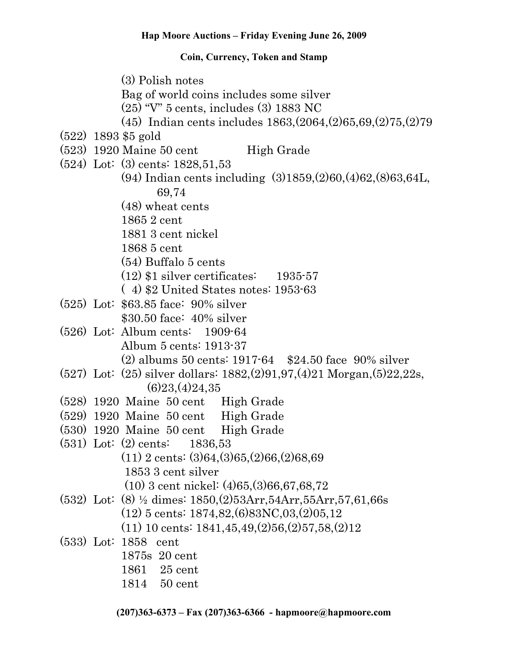(3) Polish notes Bag of world coins includes some silver (25) "V" 5 cents, includes (3) 1883 NC (45) Indian cents includes 1863,(2064,(2)65,69,(2)75,(2)79 (522) 1893 \$5 gold  $(523)$  1920 Maine 50 cent High Grade (524) Lot: (3) cents: 1828,51,53 (94) Indian cents including (3)1859,(2)60,(4)62,(8)63,64L, 69,74 (48) wheat cents 1865 2 cent 1881 3 cent nickel 1868 5 cent (54) Buffalo 5 cents (12) \$1 silver certificates: 1935-57 ( 4) \$2 United States notes: 1953-63 (525) Lot: \$63.85 face: 90% silver \$30.50 face: 40% silver (526) Lot: Album cents: 1909-64 Album 5 cents: 1913-37 (2) albums 50 cents: 1917-64 \$24.50 face 90% silver (527) Lot: (25) silver dollars: 1882,(2)91,97,(4)21 Morgan,(5)22,22s,  $(6)23(4)24,35$ (528) 1920 Maine 50 cent High Grade (529) 1920 Maine 50 cent High Grade (530) 1920 Maine 50 cent High Grade (531) Lot: (2) cents: 1836,53 (11) 2 cents: (3)64,(3)65,(2)66,(2)68,69 1853 3 cent silver (10) 3 cent nickel: (4)65,(3)66,67,68,72 (532) Lot: (8) ½ dimes: 1850,(2)53Arr,54Arr,55Arr,57,61,66s (12) 5 cents: 1874,82,(6)83NC,03,(2)05,12 (11) 10 cents: 1841,45,49,(2)56,(2)57,58,(2)12 (533) Lot: 1858 cent 1875s 20 cent 1861 25 cent 1814 50 cent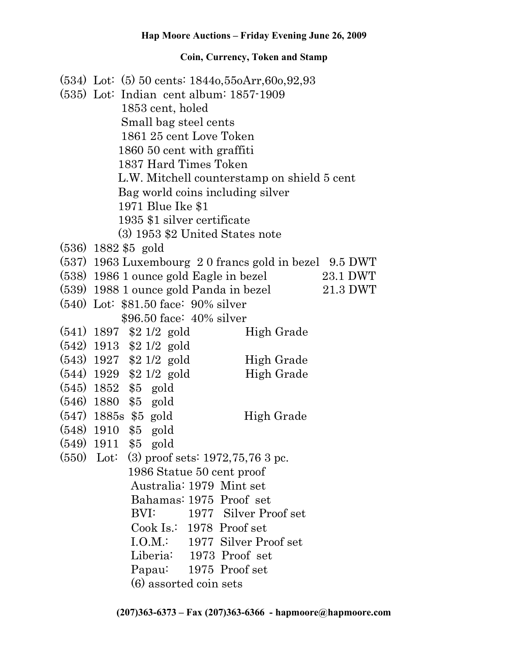| $(534)$ Lot: $(5)$ 50 cents: 1844o, 55oArr, 60o, 92, 93<br>$(535)$ Lot: Indian cent album: $1857-1909$<br>1853 cent, holed<br>Small bag steel cents<br>1861 25 cent Love Token<br>1860 50 cent with graffiti<br>1837 Hard Times Token<br>L.W. Mitchell counterstamp on shield 5 cent<br>Bag world coins including silver<br>1971 Blue Ike \$1<br>1935 \$1 silver certificate<br>$(3)$ 1953 \$2 United States note |
|-------------------------------------------------------------------------------------------------------------------------------------------------------------------------------------------------------------------------------------------------------------------------------------------------------------------------------------------------------------------------------------------------------------------|
| $(536)$ 1882 \$5 gold                                                                                                                                                                                                                                                                                                                                                                                             |
| (537) 1963 Luxembourg 2 0 francs gold in bezel 9.5 DWT                                                                                                                                                                                                                                                                                                                                                            |
| (538) 1986 1 ounce gold Eagle in bezel<br>23.1 DWT                                                                                                                                                                                                                                                                                                                                                                |
| (539) 1988 1 ounce gold Panda in bezel<br>$21.3$ DWT                                                                                                                                                                                                                                                                                                                                                              |
| $(540)$ Lot: \$81.50 face: 90% silver                                                                                                                                                                                                                                                                                                                                                                             |
| \$96.50 face: 40% silver                                                                                                                                                                                                                                                                                                                                                                                          |
| $(541)$ 1897 \$2 1/2 gold<br>High Grade                                                                                                                                                                                                                                                                                                                                                                           |
| $(542)$ 1913 \$2 1/2 gold                                                                                                                                                                                                                                                                                                                                                                                         |
| $(543)$ 1927 \$2 1/2 gold<br>High Grade                                                                                                                                                                                                                                                                                                                                                                           |
| $(544)$ 1929 \$2 1/2 gold<br>High Grade                                                                                                                                                                                                                                                                                                                                                                           |
| $(545)$ 1852 \$5 gold                                                                                                                                                                                                                                                                                                                                                                                             |
| $(546)$ 1880 \$5 gold                                                                                                                                                                                                                                                                                                                                                                                             |
| $(547)$ 1885s \$5 gold<br>High Grade                                                                                                                                                                                                                                                                                                                                                                              |
| $(548)$ 1910 \$5 gold                                                                                                                                                                                                                                                                                                                                                                                             |
| $(549)$ 1911 \$5 gold                                                                                                                                                                                                                                                                                                                                                                                             |
| $(550)$ Lot: (3) proof sets: 1972, 75, 76 3 pc.                                                                                                                                                                                                                                                                                                                                                                   |
| 1986 Statue 50 cent proof                                                                                                                                                                                                                                                                                                                                                                                         |
| Australia: 1979 Mint set                                                                                                                                                                                                                                                                                                                                                                                          |
| Bahamas: 1975 Proof set                                                                                                                                                                                                                                                                                                                                                                                           |
| BVI:<br>1977 Silver Proof set                                                                                                                                                                                                                                                                                                                                                                                     |
| $\cosh \text{Is}: 1978 \text{ Proof}$                                                                                                                                                                                                                                                                                                                                                                             |
| I.O.M.: 1977 Silver Proof set                                                                                                                                                                                                                                                                                                                                                                                     |
| Liberia: 1973 Proof set                                                                                                                                                                                                                                                                                                                                                                                           |
| Papau: 1975 Proof set                                                                                                                                                                                                                                                                                                                                                                                             |
| (6) assorted coin sets                                                                                                                                                                                                                                                                                                                                                                                            |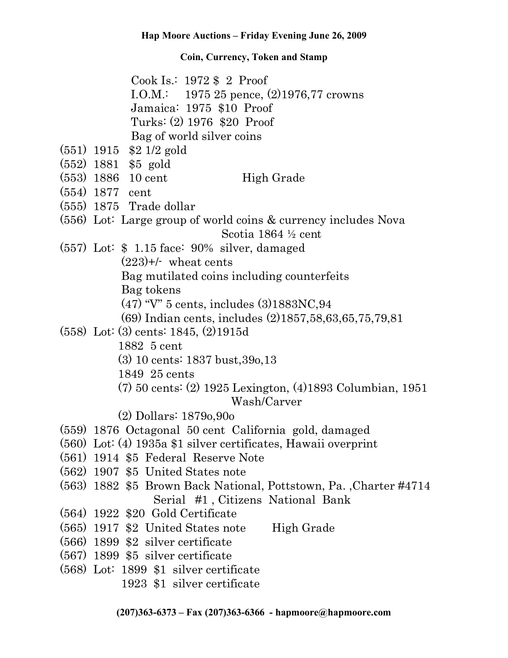Cook Is.: 1972 \$ 2 Proof I.O.M.: 1975 25 pence, (2)1976,77 crowns Jamaica: 1975 \$10 Proof Turks: (2) 1976 \$20 Proof Bag of world silver coins

- (551) 1915 \$2 1/2 gold
- (552) 1881 \$5 gold
- $(553)$  1886 10 cent High Grade
- (554) 1877 cent
- (555) 1875 Trade dollar
- (556) Lot: Large group of world coins & currency includes Nova Scotia 1864 ½ cent
- (557) Lot: \$ 1.15 face: 90% silver, damaged

 $(223)+/-$  wheat cents

Bag mutilated coins including counterfeits

Bag tokens

(47) "V" 5 cents, includes (3)1883NC,94

- (69) Indian cents, includes (2)1857,58,63,65,75,79,81
- (558) Lot: (3) cents: 1845, (2)1915d
	- 1882 5 cent
	- (3) 10 cents: 1837 bust,39o,13

1849 25 cents

 (7) 50 cents: (2) 1925 Lexington, (4)1893 Columbian, 1951 Wash/Carver

(2) Dollars: 1879o,90o

- (559) 1876 Octagonal 50 cent California gold, damaged
- (560) Lot: (4) 1935a \$1 silver certificates, Hawaii overprint
- (561) 1914 \$5 Federal Reserve Note
- (562) 1907 \$5 United States note
- (563) 1882 \$5 Brown Back National, Pottstown, Pa. ,Charter #4714 Serial #1 , Citizens National Bank
- (564) 1922 \$20 Gold Certificate
- (565) 1917 \$2 United States note High Grade
- (566) 1899 \$2 silver certificate
- (567) 1899 \$5 silver certificate
- (568) Lot: 1899 \$1 silver certificate
	- 1923 \$1 silver certificate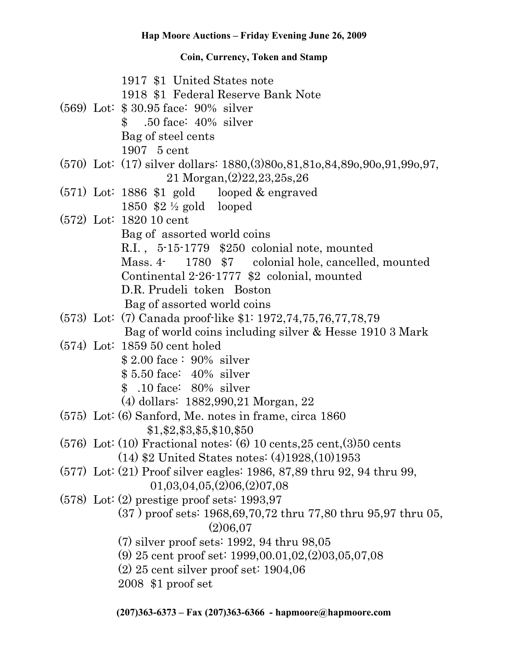1917 \$1 United States note 1918 \$1 Federal Reserve Bank Note (569) Lot: \$ 30.95 face: 90% silver \$ .50 face: 40% silver Bag of steel cents 1907 5 cent (570) Lot: (17) silver dollars: 1880,(3)80o,81,81o,84,89o,90o,91,99o,97, 21 Morgan,(2)22,23,25s,26 (571) Lot: 1886 \$1 gold looped & engraved 1850 \$2 ½ gold looped (572) Lot: 1820 10 cent Bag of assorted world coins R.I. , 5-15-1779 \$250 colonial note, mounted Mass. 4- 1780 \$7 colonial hole, cancelled, mounted Continental 2-26-1777 \$2 colonial, mounted D.R. Prudeli token Boston Bag of assorted world coins (573) Lot: (7) Canada proof-like \$1: 1972,74,75,76,77,78,79 Bag of world coins including silver & Hesse 1910 3 Mark (574) Lot: 1859 50 cent holed \$ 2.00 face : 90% silver \$ 5.50 face: 40% silver \$ .10 face: 80% silver (4) dollars: 1882,990,21 Morgan, 22 (575) Lot: (6) Sanford, Me. notes in frame, circa 1860 \$1,\$2,\$3,\$5,\$10,\$50  $(576)$  Lot:  $(10)$  Fractional notes:  $(6)$  10 cents,  $25$  cent,  $(3)50$  cents (14) \$2 United States notes: (4)1928,(10)1953 (577) Lot: (21) Proof silver eagles: 1986, 87,89 thru 92, 94 thru 99, 01,03,04,05,(2)06,(2)07,08 (578) Lot: (2) prestige proof sets: 1993,97 (37 ) proof sets: 1968,69,70,72 thru 77,80 thru 95,97 thru 05, (2)06,07 (7) silver proof sets: 1992, 94 thru 98,05 (9) 25 cent proof set: 1999,00.01,02,(2)03,05,07,08 (2) 25 cent silver proof set: 1904,06 2008 \$1 proof set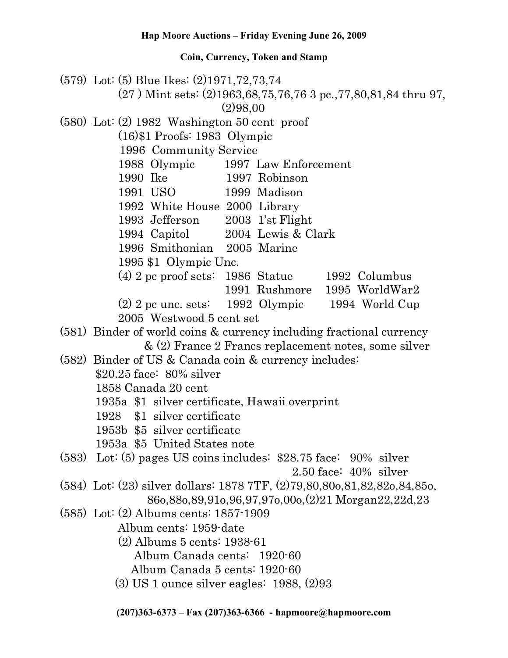(579) Lot: (5) Blue Ikes: (2)1971,72,73,74 (27 ) Mint sets: (2)1963,68,75,76,76 3 pc.,77,80,81,84 thru 97, (2)98,00 (580) Lot: (2) 1982 Washington 50 cent proof (16)\$1 Proofs: 1983 Olympic 1996 Community Service 1988 Olympic 1997 Law Enforcement 1990 Ike 1997 Robinson 1991 USO 1999 Madison 1992 White House 2000 Library 1993 Jefferson 2003 1'st Flight 1994 Capitol 2004 Lewis & Clark 1996 Smithonian 2005 Marine 1995 \$1 Olympic Unc. (4) 2 pc proof sets: 1986 Statue 1992 Columbus 1991 Rushmore 1995 WorldWar2 (2) 2 pc unc. sets: 1992 Olympic 1994 World Cup 2005 Westwood 5 cent set (581) Binder of world coins & currency including fractional currency & (2) France 2 Francs replacement notes, some silver (582) Binder of US & Canada coin & currency includes: \$20.25 face: 80% silver 1858 Canada 20 cent 1935a \$1 silver certificate, Hawaii overprint 1928 \$1 silver certificate 1953b \$5 silver certificate 1953a \$5 United States note (583) Lot: (5) pages US coins includes: \$28.75 face: 90% silver 2.50 face: 40% silver (584) Lot: (23) silver dollars: 1878 7TF, (2)79,80,80o,81,82,82o,84,85o, 86o,88o,89,91o,96,97,97o,00o,(2)21 Morgan22,22d,23 (585) Lot: (2) Albums cents: 1857-1909 Album cents: 1959-date (2) Albums 5 cents: 1938-61 Album Canada cents: 1920-60 Album Canada 5 cents: 1920-60 (3) US 1 ounce silver eagles: 1988, (2)93

**(207)363-6373 – Fax (207)363-6366 - hapmoore@hapmoore.com**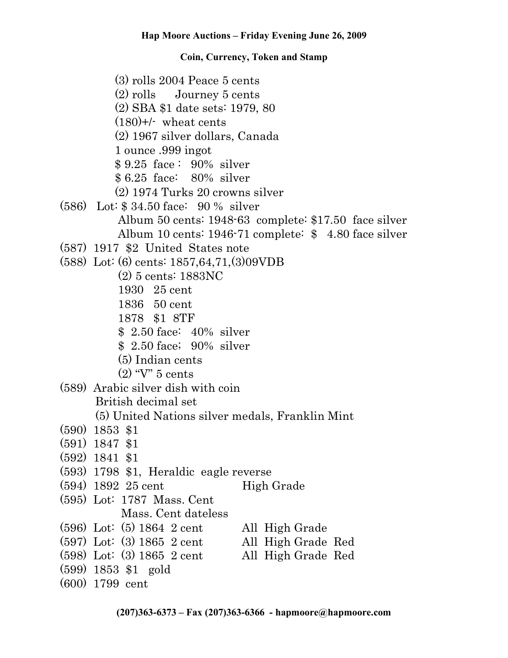(3) rolls 2004 Peace 5 cents (2) rolls Journey 5 cents (2) SBA \$1 date sets: 1979, 80  $(180)$ +/- wheat cents (2) 1967 silver dollars, Canada 1 ounce .999 ingot \$ 9.25 face : 90% silver \$ 6.25 face: 80% silver (2) 1974 Turks 20 crowns silver (586) Lot: \$ 34.50 face: 90 % silver Album 50 cents: 1948-63 complete: \$17.50 face silver Album 10 cents: 1946-71 complete: \$ 4.80 face silver (587) 1917 \$2 United States note (588) Lot: (6) cents: 1857,64,71,(3)09VDB (2) 5 cents: 1883NC 1930 25 cent 1836 50 cent 1878 \$1 8TF \$ 2.50 face: 40% silver \$ 2.50 face; 90% silver (5) Indian cents (2) "V" 5 cents (589) Arabic silver dish with coin British decimal set (5) United Nations silver medals, Franklin Mint (590) 1853 \$1 (591) 1847 \$1 (592) 1841 \$1 (593) 1798 \$1, Heraldic eagle reverse  $(594)$  1892 25 cent High Grade (595) Lot: 1787 Mass. Cent Mass. Cent dateless (596) Lot: (5) 1864 2 cent All High Grade<br>(597) Lot: (3) 1865 2 cent All High Grade Red  $(597)$  Lot:  $(3)$  1865 2 cent (598) Lot: (3) 1865 2 cent All High Grade Red (599) 1853 \$1 gold (600) 1799 cent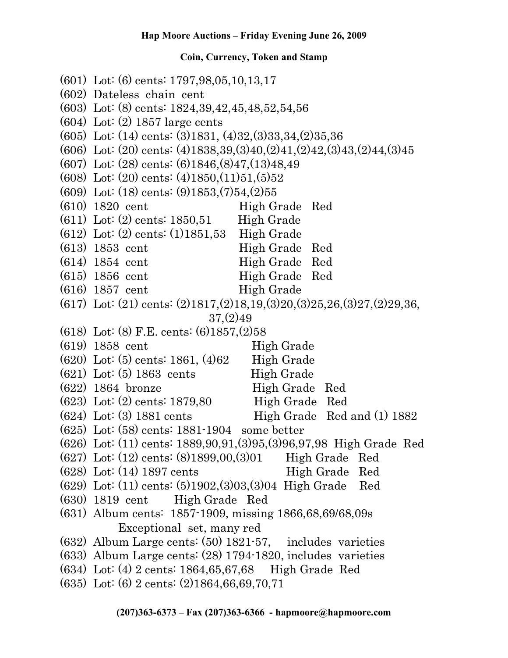(601) Lot: (6) cents: 1797,98,05,10,13,17 (602) Dateless chain cent (603) Lot: (8) cents: 1824,39,42,45,48,52,54,56 (604) Lot: (2) 1857 large cents (605) Lot: (14) cents: (3)1831, (4)32,(3)33,34,(2)35,36 (606) Lot: (20) cents: (4)1838,39,(3)40,(2)41,(2)42,(3)43,(2)44,(3)45 (607) Lot: (28) cents: (6)1846,(8)47,(13)48,49  $(608)$  Lot:  $(20)$  cents:  $(4)1850(11)51(5)52$ (609) Lot: (18) cents: (9)1853,(7)54,(2)55  $(610)$  1820 cent High Grade Red  $(611)$  Lot:  $(2)$  cents: 1850,51 High Grade (612) Lot: (2) cents: (1)1851,53 High Grade (613) 1853 cent High Grade Red  $(614)$  1854 cent High Grade Red (615) 1856 cent High Grade Red  $(616)$  1857 cent High Grade (617) Lot: (21) cents: (2)1817,(2)18,19,(3)20,(3)25,26,(3)27,(2)29,36, 37,(2)49 (618) Lot: (8) F.E. cents: (6)1857,(2)58  $(619)$  1858 cent High Grade (620) Lot: (5) cents: 1861, (4)62 High Grade  $(621)$  Lot:  $(5)$  1863 cents High Grade (622) 1864 bronze High Grade Red (623) Lot: (2) cents: 1879,80 High Grade Red  $(624)$  Lot: (3) 1881 cents High Grade Red and (1) 1882 (625) Lot: (58) cents: 1881-1904 some better (626) Lot: (11) cents: 1889,90,91,(3)95,(3)96,97,98 High Grade Red (627) Lot: (12) cents: (8)1899,00,(3)01 High Grade Red  $(628)$  Lot:  $(14)$  1897 cents High Grade Red (629) Lot: (11) cents: (5)1902,(3)03,(3)04 High Grade Red (630) 1819 cent High Grade Red (631) Album cents: 1857-1909, missing 1866,68,69/68,09s Exceptional set, many red (632) Album Large cents: (50) 1821-57, includes varieties (633) Album Large cents: (28) 1794-1820, includes varieties (634) Lot: (4) 2 cents: 1864,65,67,68 High Grade Red (635) Lot: (6) 2 cents: (2)1864,66,69,70,71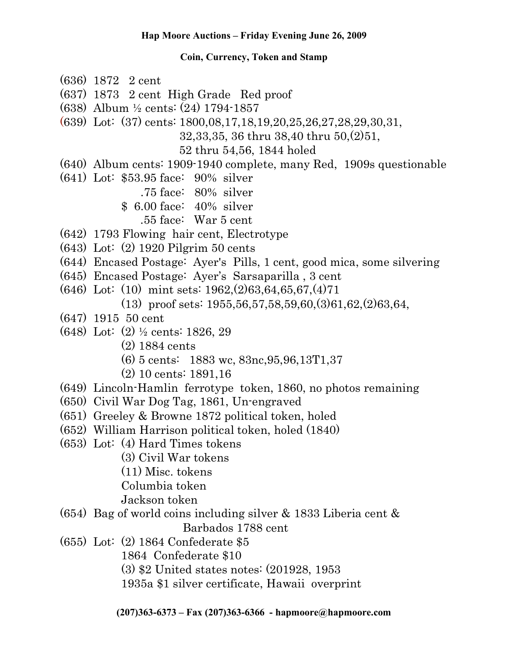- (636) 1872 2 cent
- (637) 1873 2 cent High Grade Red proof
- (638) Album ½ cents: (24) 1794-1857
- (639) Lot: (37) cents: 1800,08,17,18,19,20,25,26,27,28,29,30,31,

32,33,35, 36 thru 38,40 thru 50,(2)51,

52 thru 54,56, 1844 holed

- (640) Album cents: 1909-1940 complete, many Red, 1909s questionable
- (641) Lot: \$53.95 face: 90% silver
	- .75 face: 80% silver
	- \$ 6.00 face: 40% silver
		- .55 face: War 5 cent
- (642) 1793 Flowing hair cent, Electrotype
- (643) Lot: (2) 1920 Pilgrim 50 cents
- (644) Encased Postage: Ayer's Pills, 1 cent, good mica, some silvering
- (645) Encased Postage: Ayer's Sarsaparilla , 3 cent
- (646) Lot: (10) mint sets: 1962,(2)63,64,65,67,(4)71 (13) proof sets: 1955,56,57,58,59,60,(3)61,62,(2)63,64,
- (647) 1915 50 cent
- (648) Lot: (2) ½ cents: 1826, 29
	- (2) 1884 cents
	- (6) 5 cents: 1883 wc, 83nc,95,96,13T1,37
	- (2) 10 cents: 1891,16
- (649) Lincoln-Hamlin ferrotype token, 1860, no photos remaining
- (650) Civil War Dog Tag, 1861, Un-engraved
- (651) Greeley & Browne 1872 political token, holed
- (652) William Harrison political token, holed (1840)
- (653) Lot: (4) Hard Times tokens
	- (3) Civil War tokens
	- (11) Misc. tokens
	- Columbia token
	- Jackson token
- (654) Bag of world coins including silver & 1833 Liberia cent & Barbados 1788 cent
- (655) Lot: (2) 1864 Confederate \$5
	- 1864 Confederate \$10
	- (3) \$2 United states notes: (201928, 1953
	- 1935a \$1 silver certificate, Hawaii overprint